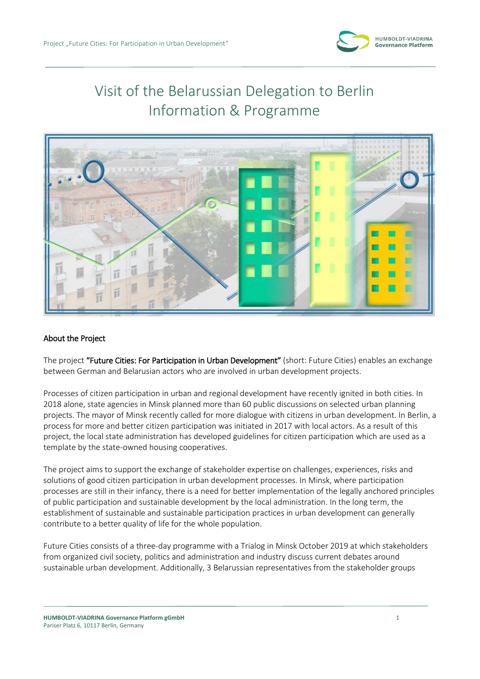

# Visit of the Belarussian Delegation to Berlin Information & Programme



## About the Project

The project "Future Cities: For Participation in Urban Development" (short: Future Cities) enables an exchange between German and Belarusian actors who are involved in urban development projects.

Processes of citizen participation in urban and regional development have recently ignited in both cities. In 2018 alone, state agencies in Minsk planned more than 60 public discussions on selected urban planning projects. The mayor of Minsk recently called for more dialogue with citizens in urban development. In Berlin, a process for more and better citizen participation was initiated in 2017 with local actors. As a result of this project, the local state administration has developed guidelines for citizen participation which are used as a template by the state-owned housing cooperatives.

The project aims to support the exchange of stakeholder expertise on challenges, experiences, risks and solutions of good citizen participation in urban development processes. In Minsk, where participation processes are still in their infancy, there is a need for better implementation of the legally anchored principles of public participation and sustainable development by the local administration. In the long term, the establishment of sustainable and sustainable participation practices in urban development can generally contribute to a better quality of life for the whole population.

Future Cities consists of a three-day programme with a Trialog in Minsk October 2019 at which stakeholders from organized civil society, politics and administration and industry discuss current debates around sustainable urban development. Additionally, 3 Belarussian representatives from the stakeholder groups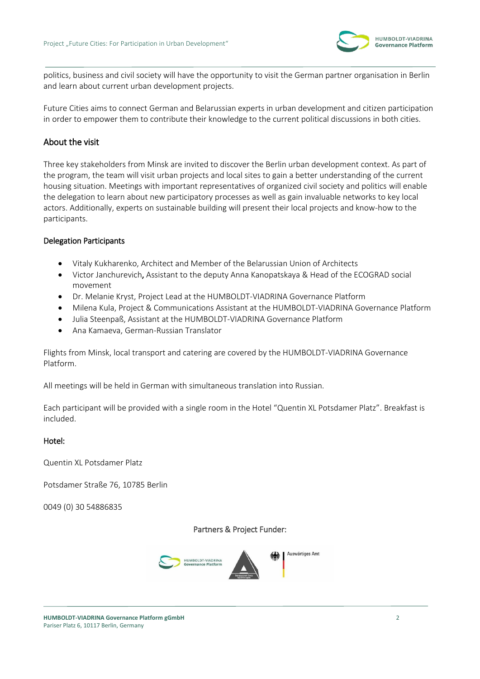

politics, business and civil society will have the opportunity to visit the German partner organisation in Berlin and learn about current urban development projects.

Future Cities aims to connect German and Belarussian experts in urban development and citizen participation in order to empower them to contribute their knowledge to the current political discussions in both cities.

# About the visit

Three key stakeholders from Minsk are invited to discover the Berlin urban development context. As part of the program, the team will visit urban projects and local sites to gain a better understanding of the current housing situation. Meetings with important representatives of organized civil society and politics will enable the delegation to learn about new participatory processes as well as gain invaluable networks to key local actors. Additionally, experts on sustainable building will present their local projects and know-how to the participants.

## Delegation Participants

- Vitaly Kukharenko, Architect and Member of the Belarussian Union of Architects
- Victor Janchurevich, Assistant to the deputy Anna Kanopatskaya & Head of the ECOGRAD social movement
- Dr. Melanie Kryst, Project Lead at the HUMBOLDT-VIADRINA Governance Platform
- Milena Kula, Project & Communications Assistant at the HUMBOLDT-VIADRINA Governance Platform
- Julia Steenpaß, Assistant at the HUMBOLDT-VIADRINA Governance Platform
- Ana Kamaeva, German-Russian Translator

Flights from Minsk, local transport and catering are covered by the HUMBOLDT-VIADRINA Governance Platform.

All meetings will be held in German with simultaneous translation into Russian.

Each participant will be provided with a single room in the Hotel "Quentin XL Potsdamer Platz". Breakfast is included.

### Hotel:

Quentin XL Potsdamer Platz

Potsdamer Straße 76, 10785 Berlin

0049 (0) 30 54886835

### Partners & Project Funder:

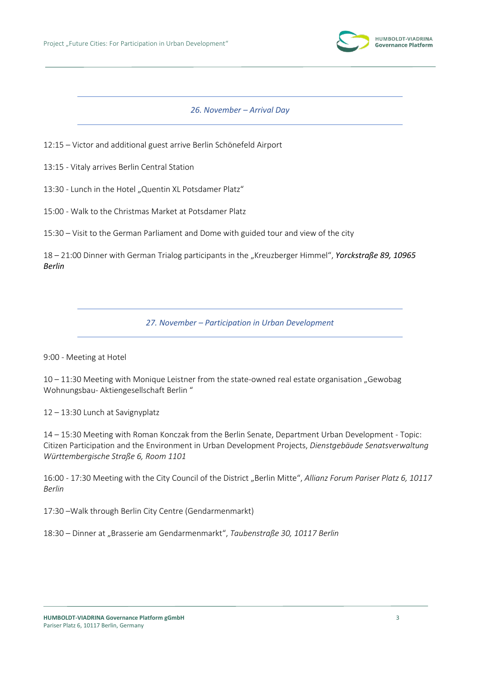

*26. November – Arrival Day*

12:15 – Victor and additional guest arrive Berlin Schönefeld Airport

13:15 - Vitaly arrives Berlin Central Station

13:30 - Lunch in the Hotel "Quentin XL Potsdamer Platz"

15:00 - Walk to the Christmas Market at Potsdamer Platz

15:30 – Visit to the German Parliament and Dome with guided tour and view of the city

18 – 21:00 Dinner with German Trialog participants in the "Kreuzberger Himmel", *Yorckstraße 89, 10965 Berlin*

*27. November – Participation in Urban Development*

#### 9:00 - Meeting at Hotel

 $10 - 11:30$  Meeting with Monique Leistner from the state-owned real estate organisation "Gewobag Wohnungsbau- Aktiengesellschaft Berlin "

12 – 13:30 Lunch at Savignyplatz

14 – 15:30 Meeting with Roman Konczak from the Berlin Senate, Department Urban Development - Topic: Citizen Participation and the Environment in Urban Development Projects, *Dienstgebäude Senatsverwaltung Württembergische Straße 6, Room 1101*

16:00 - 17:30 Meeting with the City Council of the District "Berlin Mitte", Allianz Forum Pariser Platz 6, 10117 *Berlin*

17:30 –Walk through Berlin City Centre (Gendarmenmarkt)

18:30 – Dinner at "Brasserie am Gendarmenmarkt", *Taubenstraße 30, 10117 Berlin*